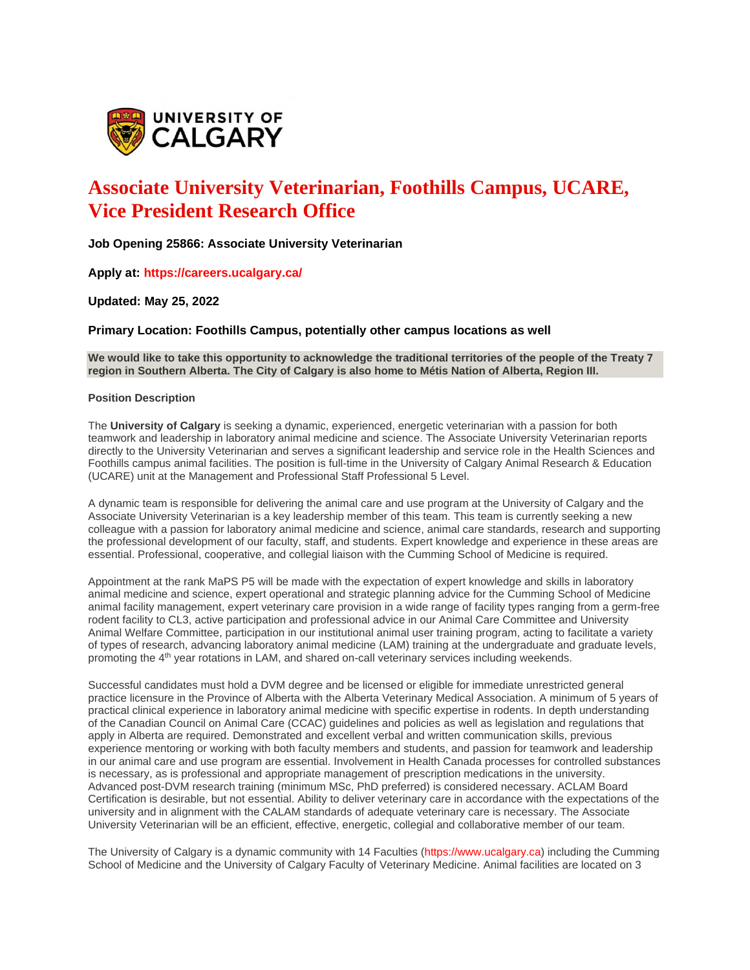

# **Associate University Veterinarian, Foothills Campus, UCARE, Vice President Research Office**

**Job Opening 25866: Associate University Veterinarian**

**Apply at: https://careers.ucalgary.ca/**

**Updated: May 25, 2022**

**Primary Location: Foothills Campus, potentially other campus locations as well**

**We would like to take this opportunity to acknowledge the traditional territories of the people of the Treaty 7 region in Southern Alberta. The City of Calgary is also home to Métis Nation of Alberta, Region III.**

## **Position Description**

The **University of Calgary** is seeking a dynamic, experienced, energetic veterinarian with a passion for both teamwork and leadership in laboratory animal medicine and science. The Associate University Veterinarian reports directly to the University Veterinarian and serves a significant leadership and service role in the Health Sciences and Foothills campus animal facilities. The position is full-time in the University of Calgary Animal Research & Education (UCARE) unit at the Management and Professional Staff Professional 5 Level.

A dynamic team is responsible for delivering the animal care and use program at the University of Calgary and the Associate University Veterinarian is a key leadership member of this team. This team is currently seeking a new colleague with a passion for laboratory animal medicine and science, animal care standards, research and supporting the professional development of our faculty, staff, and students. Expert knowledge and experience in these areas are essential. Professional, cooperative, and collegial liaison with the Cumming School of Medicine is required.

Appointment at the rank MaPS P5 will be made with the expectation of expert knowledge and skills in laboratory animal medicine and science, expert operational and strategic planning advice for the Cumming School of Medicine animal facility management, expert veterinary care provision in a wide range of facility types ranging from a germ-free rodent facility to CL3, active participation and professional advice in our Animal Care Committee and University Animal Welfare Committee, participation in our institutional animal user training program, acting to facilitate a variety of types of research, advancing laboratory animal medicine (LAM) training at the undergraduate and graduate levels, promoting the 4th year rotations in LAM, and shared on-call veterinary services including weekends.

Successful candidates must hold a DVM degree and be licensed or eligible for immediate unrestricted general practice licensure in the Province of Alberta with the Alberta Veterinary Medical Association. A minimum of 5 years of practical clinical experience in laboratory animal medicine with specific expertise in rodents. In depth understanding of the Canadian Council on Animal Care (CCAC) guidelines and policies as well as legislation and regulations that apply in Alberta are required. Demonstrated and excellent verbal and written communication skills, previous experience mentoring or working with both faculty members and students, and passion for teamwork and leadership in our animal care and use program are essential. Involvement in Health Canada processes for controlled substances is necessary, as is professional and appropriate management of prescription medications in the university. Advanced post-DVM research training (minimum MSc, PhD preferred) is considered necessary. ACLAM Board Certification is desirable, but not essential. Ability to deliver veterinary care in accordance with the expectations of the university and in alignment with the CALAM standards of adequate veterinary care is necessary. The Associate University Veterinarian will be an efficient, effective, energetic, collegial and collaborative member of our team.

The University of Calgary is a dynamic community with 14 Faculties (https://www.ucalgary.ca) including the Cumming School of Medicine and the University of Calgary Faculty of Veterinary Medicine. Animal facilities are located on 3